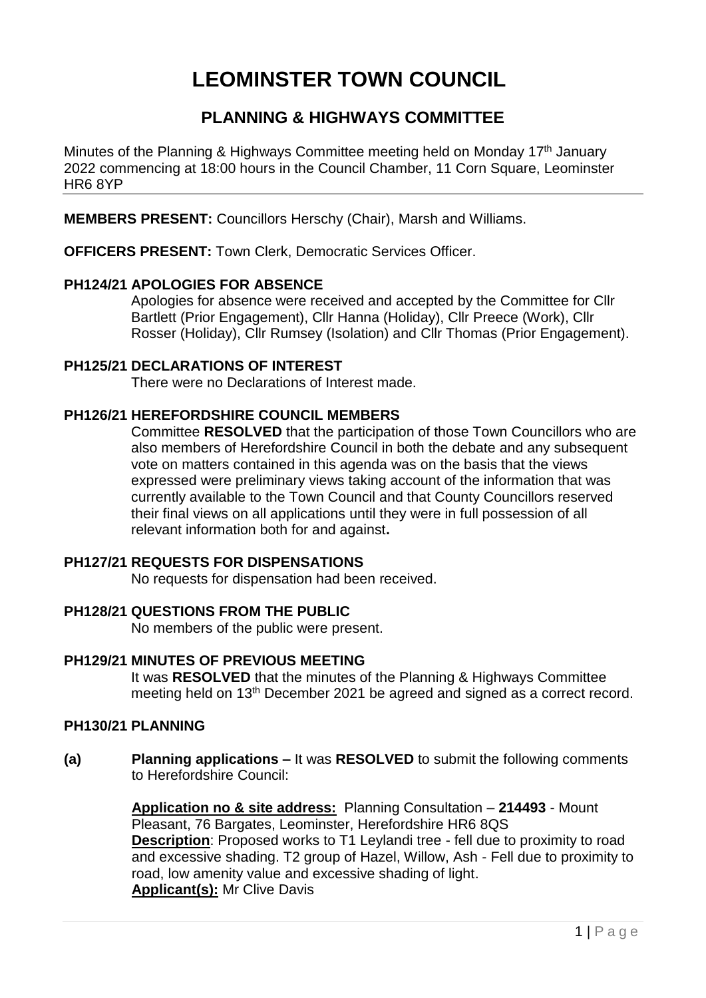# **LEOMINSTER TOWN COUNCIL**

# **PLANNING & HIGHWAYS COMMITTEE**

Minutes of the Planning & Highways Committee meeting held on Monday 17<sup>th</sup> January 2022 commencing at 18:00 hours in the Council Chamber, 11 Corn Square, Leominster HR6 8YP

**MEMBERS PRESENT:** Councillors Herschy (Chair), Marsh and Williams.

**OFFICERS PRESENT:** Town Clerk, Democratic Services Officer.

# **PH124/21 APOLOGIES FOR ABSENCE**

Apologies for absence were received and accepted by the Committee for Cllr Bartlett (Prior Engagement), Cllr Hanna (Holiday), Cllr Preece (Work), Cllr Rosser (Holiday), Cllr Rumsey (Isolation) and Cllr Thomas (Prior Engagement).

# **PH125/21 DECLARATIONS OF INTEREST**

There were no Declarations of Interest made.

# **PH126/21 HEREFORDSHIRE COUNCIL MEMBERS**

Committee **RESOLVED** that the participation of those Town Councillors who are also members of Herefordshire Council in both the debate and any subsequent vote on matters contained in this agenda was on the basis that the views expressed were preliminary views taking account of the information that was currently available to the Town Council and that County Councillors reserved their final views on all applications until they were in full possession of all relevant information both for and against**.**

#### **PH127/21 REQUESTS FOR DISPENSATIONS**

No requests for dispensation had been received.

#### **PH128/21 QUESTIONS FROM THE PUBLIC**

No members of the public were present.

# **PH129/21 MINUTES OF PREVIOUS MEETING**

It was **RESOLVED** that the minutes of the Planning & Highways Committee meeting held on 13th December 2021 be agreed and signed as a correct record.

#### **PH130/21 PLANNING**

**(a) Planning applications –** It was **RESOLVED** to submit the following comments to Herefordshire Council:

> **Application no & site address:** Planning Consultation – **214493** - Mount Pleasant, 76 Bargates, Leominster, Herefordshire HR6 8QS **Description**: Proposed works to T1 Leylandi tree - fell due to proximity to road and excessive shading. T2 group of Hazel, Willow, Ash - Fell due to proximity to road, low amenity value and excessive shading of light. **Applicant(s):** Mr Clive Davis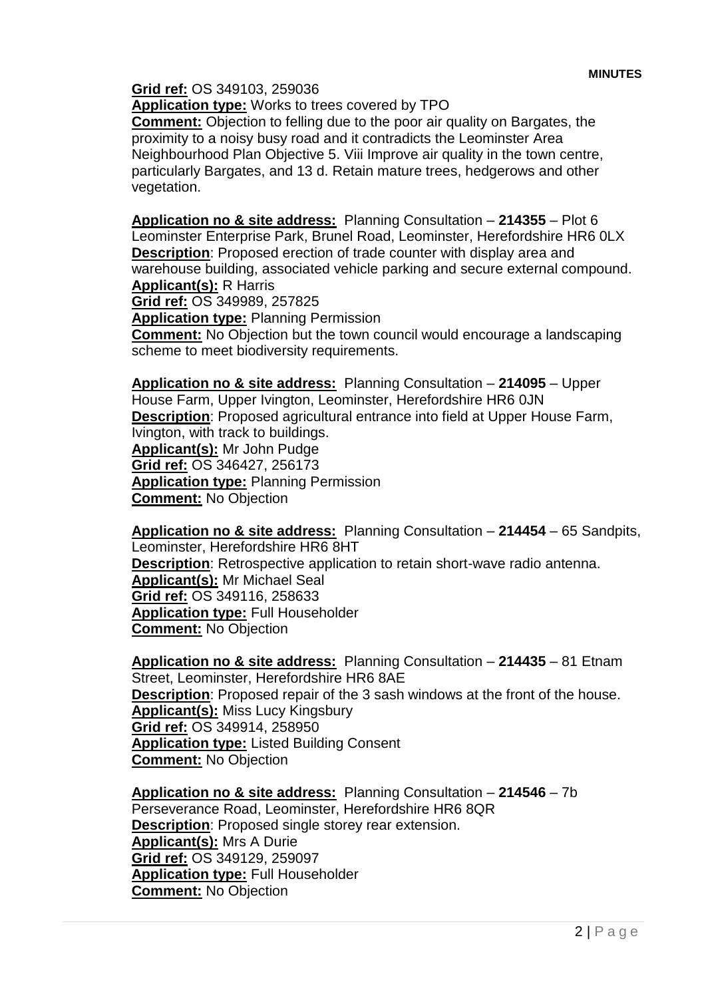**Grid ref:** OS 349103, 259036

**Application type:** Works to trees covered by TPO

**Comment:** Objection to felling due to the poor air quality on Bargates, the proximity to a noisy busy road and it contradicts the Leominster Area Neighbourhood Plan Objective 5. Viii Improve air quality in the town centre, particularly Bargates, and 13 d. Retain mature trees, hedgerows and other vegetation.

**Application no & site address:** Planning Consultation – **214355** – Plot 6 Leominster Enterprise Park, Brunel Road, Leominster, Herefordshire HR6 0LX **Description**: Proposed erection of trade counter with display area and warehouse building, associated vehicle parking and secure external compound. **Applicant(s):** R Harris

**Grid ref:** OS 349989, 257825

**Application type:** Planning Permission

**Comment:** No Objection but the town council would encourage a landscaping scheme to meet biodiversity requirements.

**Application no & site address:** Planning Consultation – **214095** – Upper House Farm, Upper Ivington, Leominster, Herefordshire HR6 0JN **Description**: Proposed agricultural entrance into field at Upper House Farm, Ivington, with track to buildings. **Applicant(s):** Mr John Pudge **Grid ref:** OS 346427, 256173 **Application type:** Planning Permission **Comment:** No Objection

**Application no & site address:** Planning Consultation – **214454** – 65 Sandpits, Leominster, Herefordshire HR6 8HT **Description**: Retrospective application to retain short-wave radio antenna. **Applicant(s):** Mr Michael Seal **Grid ref:** OS 349116, 258633 **Application type:** Full Householder **Comment:** No Objection

**Application no & site address:** Planning Consultation – **214435** – 81 Etnam Street, Leominster, Herefordshire HR6 8AE **Description**: Proposed repair of the 3 sash windows at the front of the house. **Applicant(s):** Miss Lucy Kingsbury **Grid ref:** OS 349914, 258950 **Application type:** Listed Building Consent **Comment:** No Objection

**Application no & site address:** Planning Consultation – **214546** – 7b Perseverance Road, Leominster, Herefordshire HR6 8QR **Description**: Proposed single storey rear extension. **Applicant(s):** Mrs A Durie **Grid ref:** OS 349129, 259097 **Application type:** Full Householder **Comment:** No Objection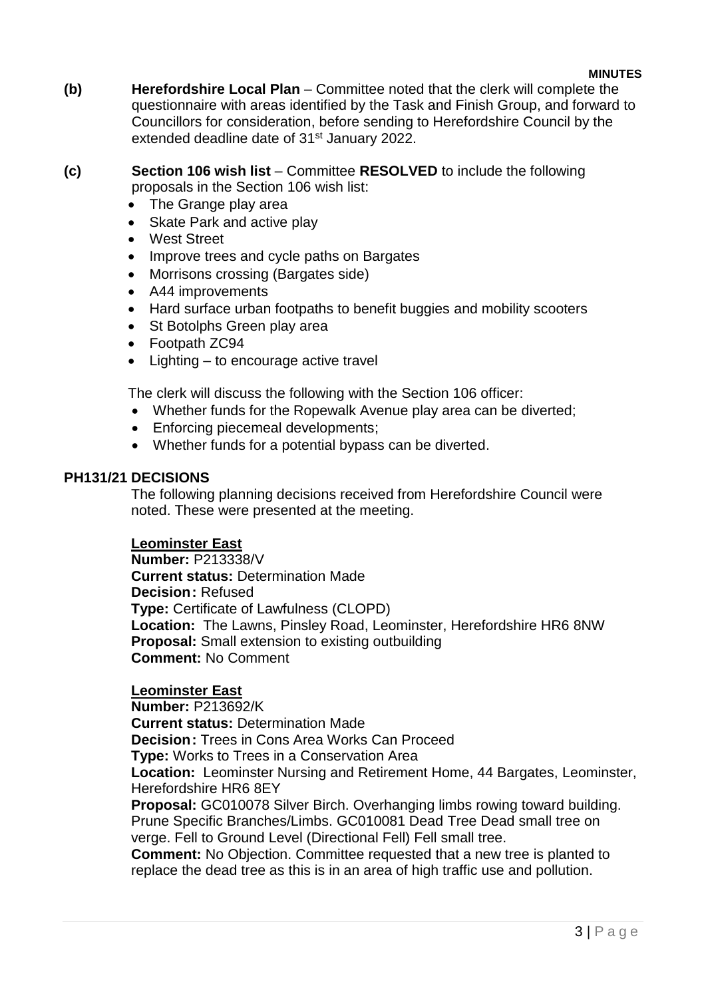#### **MINUTES**

**(b) Herefordshire Local Plan** – Committee noted that the clerk will complete the questionnaire with areas identified by the Task and Finish Group, and forward to Councillors for consideration, before sending to Herefordshire Council by the extended deadline date of 31<sup>st</sup> January 2022.

# **(c) Section 106 wish list** – Committee **RESOLVED** to include the following proposals in the Section 106 wish list:

- The Grange play area
- Skate Park and active play
- West Street
- Improve trees and cycle paths on Bargates
- Morrisons crossing (Bargates side)
- A44 improvements
- Hard surface urban footpaths to benefit buggies and mobility scooters
- St Botolphs Green play area
- Footpath ZC94
- Lighting to encourage active travel

The clerk will discuss the following with the Section 106 officer:

- Whether funds for the Ropewalk Avenue play area can be diverted;
- Enforcing piecemeal developments;
- Whether funds for a potential bypass can be diverted.

#### **PH131/21 DECISIONS**

The following planning decisions received from Herefordshire Council were noted. These were presented at the meeting.

#### **Leominster East**

**Number:** P213338/V **Current status:** Determination Made **Decision:** Refused **Type:** Certificate of Lawfulness (CLOPD) **Location:** The Lawns, Pinsley Road, Leominster, Herefordshire HR6 8NW **Proposal:** Small extension to existing outbuilding **Comment:** No Comment

#### **Leominster East**

**Number:** P213692/K **Current status:** Determination Made **Decision:** Trees in Cons Area Works Can Proceed **Type:** Works to Trees in a Conservation Area **Location:** Leominster Nursing and Retirement Home, 44 Bargates, Leominster, Herefordshire HR6 8EY **Proposal:** GC010078 Silver Birch. Overhanging limbs rowing toward building. Prune Specific Branches/Limbs. GC010081 Dead Tree Dead small tree on verge. Fell to Ground Level (Directional Fell) Fell small tree. **Comment:** No Objection. Committee requested that a new tree is planted to

replace the dead tree as this is in an area of high traffic use and pollution.